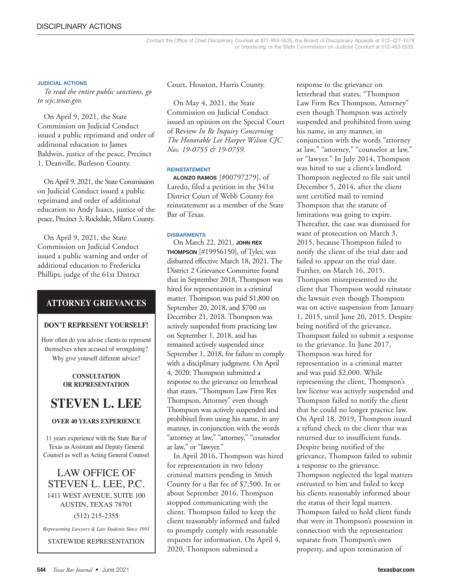#### **JUDICIAL ACTIONS**

*To read the entire public sanctions, go to scjc.texas.gov.* 

On April 9, 2021, the State Commission on Judicial Conduct issued a public reprimand and order of additional education to James Baldwin, justice of the peace, Precinct 1, Deanville, Burleson County.

On April 9, 2021, the State Commission on Judicial Conduct issued a public reprimand and order of additional education to Andy Isaacs, justice of the peace, Precinct 3, Rockdale, Milam County.

On April 9, 2021, the State Commission on Judicial Conduct issued a public warning and order of additional education to Fredericka Phillips, judge of the 61st District

#### **ATTORNEY GRIEVANCES**

#### **DON'T REPRESENT YOURSELF!**

How often do you advise clients to represent themselves when accused of wrongdoing? Why give yourself different advice?

#### **CONSULTATION OR REPRESENTATION**

## **STEVEN L. LEE**

#### **OVER 40 YEARS EXPERIENCE**

11 years experience with the State Bar of Texas as Assistant and Deputy General Counsel as well as Acting General Counsel

### LAW OFFICE OF STEVEN L. LEE, P.C. 1411 WEST AVENUE, SUITE 100 AUSTIN, TEXAS 78701 (512) 215-2355

*Representing Lawyers & Law Students Since 1991*

STATEWIDE REPRESENTATION

Court, Houston, Harris County.

On May 4, 2021, the State Commission on Judicial Conduct issued an opinion on the Special Court of Review *In Re Inquiry Concerning The Honorable Lee Harper Wilson CJC Nos. 19-0755 & 19-0759.*

#### **REINSTATEMENT**

**ALONZO RAMOS** [#00797279], of Laredo, filed a petition in the 341st District Court of Webb County for reinstatement as a member of the State Bar of Texas.

#### **DISBARMENTS**

On March 22, 2021, **JOHN REX THOMPSON** [#19956150], of Tyler, was disbarred effective March 18, 2021. The District 2 Grievance Committee found that in September 2018, Thompson was hired for representation in a criminal matter. Thompson was paid \$1,800 on September 20, 2018, and \$700 on December 21, 2018. Thompson was actively suspended from practicing law on September 1, 2018, and has remained actively suspended since September 1, 2018, for failure to comply with a disciplinary judgment. On April 4, 2020, Thompson submitted a response to the grievance on letterhead that states, "Thompson Law Firm Rex Thompson, Attorney" even though Thompson was actively suspended and prohibited from using his name, in any manner, in conjunction with the words "attorney at law," "attorney," "counselor at law," or "lawyer."

In April 2016, Thompson was hired for representation in two felony criminal matters pending in Smith County for a flat fee of \$7,500. In or about September 2016, Thompson stopped communicating with the client. Thompson failed to keep the client reasonably informed and failed to promptly comply with reasonable requests for information. On April 4, 2020, Thompson submitted a

response to the grievance on letterhead that states, "Thompson Law Firm Rex Thompson, Attorney" even though Thompson was actively suspended and prohibited from using his name, in any manner, in conjunction with the words "attorney at law," "attorney," "counselor at law," or "lawyer." In July 2014, Thompson was hired to sue a client's landlord. Thompson neglected to file suit until December 5, 2014, after the client sent certified mail to remind Thompson that the statute of limitations was going to expire. Thereafter, the case was dismissed for want of prosecution on March 3, 2015, because Thompson failed to notify the client of the trial date and failed to appear on the trial date. Further, on March 16, 2015, Thompson misrepresented to the client that Thompson would reinstate the lawsuit even though Thompson was on active suspension from January 1, 2015, until June 20, 2015. Despite being notified of the grievance, Thompson failed to submit a response to the grievance. In June 2017, Thompson was hired for representation in a criminal matter and was paid \$2,000. While representing the client, Thompson's law license was actively suspended and Thompson failed to notify the client that he could no longer practice law. On April 18, 2019, Thompson issued a refund check to the client that was returned due to insufficient funds. Despite being notified of the grievance, Thompson failed to submit a response to the grievance. Thompson neglected the legal matters entrusted to him and failed to keep his clients reasonably informed about the status of their legal matters. Thompson failed to hold client funds that were in Thompson's possession in connection with the representation separate from Thompson's own property, and upon termination of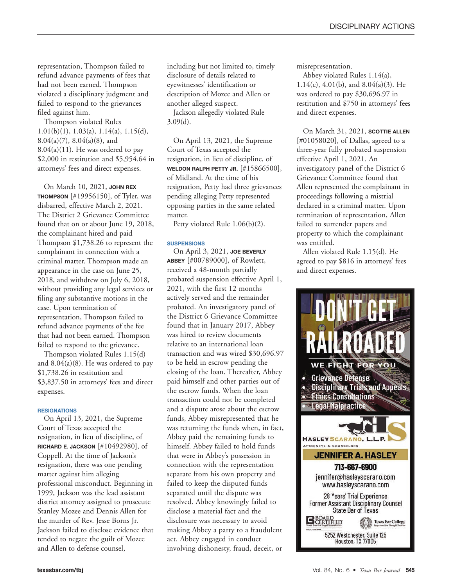representation, Thompson failed to refund advance payments of fees that had not been earned. Thompson violated a disciplinary judgment and failed to respond to the grievances filed against him.

Thompson violated Rules  $1.01(b)(1)$ ,  $1.03(a)$ ,  $1.14(a)$ ,  $1.15(d)$ ,  $8.04(a)(7)$ ,  $8.04(a)(8)$ , and  $8.04(a)(11)$ . He was ordered to pay \$2,000 in restitution and \$5,954.64 in attorneys' fees and direct expenses.

On March 10, 2021, **JOHN REX THOMPSON** [#19956150], of Tyler, was disbarred, effective March 2, 2021. The District 2 Grievance Committee found that on or about June 19, 2018, the complainant hired and paid Thompson \$1,738.26 to represent the complainant in connection with a criminal matter. Thompson made an appearance in the case on June 25, 2018, and withdrew on July 6, 2018, without providing any legal services or filing any substantive motions in the case. Upon termination of representation, Thompson failed to refund advance payments of the fee that had not been earned. Thompson failed to respond to the grievance.

Thompson violated Rules 1.15(d) and  $8.04(a)(8)$ . He was ordered to pay \$1,738.26 in restitution and \$3,837.50 in attorneys' fees and direct expenses.

#### **RESIGNATIONS**

On April 13, 2021, the Supreme Court of Texas accepted the resignation, in lieu of discipline, of **RICHARD E. JACKSON** [#10492980], of Coppell. At the time of Jackson's resignation, there was one pending matter against him alleging professional misconduct. Beginning in 1999, Jackson was the lead assistant district attorney assigned to prosecute Stanley Mozee and Dennis Allen for the murder of Rev. Jesse Borns Jr. Jackson failed to disclose evidence that tended to negate the guilt of Mozee and Allen to defense counsel,

including but not limited to, timely disclosure of details related to eyewitnesses' identification or description of Mozee and Allen or another alleged suspect.

Jackson allegedly violated Rule 3.09(d).

On April 13, 2021, the Supreme Court of Texas accepted the resignation, in lieu of discipline, of **WELDON RALPH PETTY JR.** [#15866500], of Midland. At the time of his resignation, Petty had three grievances pending alleging Petty represented opposing parties in the same related matter.

Petty violated Rule 1.06(b)(2).

#### **SUSPENSIONS**

On April 3, 2021, **JOE BEVERLY ABBEY** [#00789000], of Rowlett, received a 48-month partially probated suspension effective April 1, 2021, with the first 12 months actively served and the remainder probated. An investigatory panel of the District 6 Grievance Committee found that in January 2017, Abbey was hired to review documents relative to an international loan transaction and was wired \$30,696.97 to be held in escrow pending the closing of the loan. Thereafter, Abbey paid himself and other parties out of the escrow funds. When the loan transaction could not be completed and a dispute arose about the escrow funds, Abbey misrepresented that he was returning the funds when, in fact, Abbey paid the remaining funds to himself. Abbey failed to hold funds that were in Abbey's possession in connection with the representation separate from his own property and failed to keep the disputed funds separated until the dispute was resolved. Abbey knowingly failed to disclose a material fact and the disclosure was necessary to avoid making Abbey a party to a fraudulent act. Abbey engaged in conduct involving dishonesty, fraud, deceit, or

misrepresentation.

Abbey violated Rules 1.14(a), 1.14(c), 4.01(b), and 8.04(a)(3). He was ordered to pay \$30,696.97 in restitution and \$750 in attorneys' fees and direct expenses.

On March 31, 2021, **SCOTTIE ALLEN** [#01058020], of Dallas, agreed to a three-year fully probated suspension effective April 1, 2021. An investigatory panel of the District 6 Grievance Committee found that Allen represented the complainant in proceedings following a mistrial declared in a criminal matter. Upon termination of representation, Allen failed to surrender papers and property to which the complainant was entitled.

Allen violated Rule 1.15(d). He agreed to pay \$816 in attorneys' fees and direct expenses.

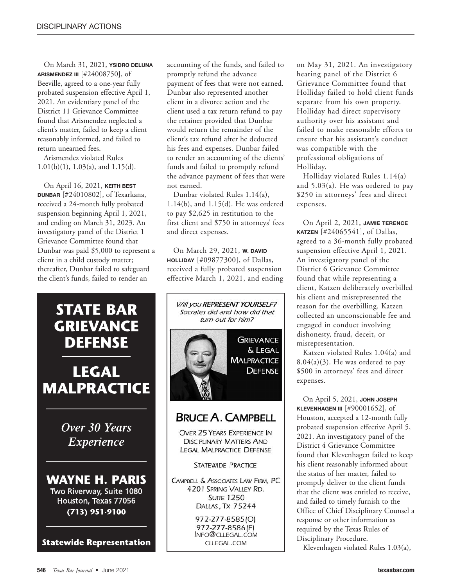On March 31, 2021, **YSIDRO DELUNA ARISMENDEZ III** [#24008750], of Beeville, agreed to a one-year fully probated suspension effective April 1, 2021. An evidentiary panel of the District 11 Grievance Committee found that Arismendez neglected a client's matter, failed to keep a client reasonably informed, and failed to return unearned fees.

Arismendez violated Rules 1.01(b)(1), 1.03(a), and 1.15(d).

On April 16, 2021, **KEITH BEST DUNBAR** [#24010802], of Texarkana, received a 24-month fully probated suspension beginning April 1, 2021, and ending on March 31, 2023. An investigatory panel of the District 1 Grievance Committee found that Dunbar was paid \$5,000 to represent a client in a child custody matter; thereafter, Dunbar failed to safeguard the client's funds, failed to render an



# **LEGAL MALPRACTICE**

Over 30 Years **Experience** 

**WAYNE H. PARIS** Two Riverway, Suite 1080 Houston, Texas 77056  $(713)$  951-9100

**Statewide Representation** 

accounting of the funds, and failed to promptly refund the advance payment of fees that were not earned. Dunbar also represented another client in a divorce action and the client used a tax return refund to pay the retainer provided that Dunbar would return the remainder of the client's tax refund after he deducted his fees and expenses. Dunbar failed to render an accounting of the clients' funds and failed to promptly refund the advance payment of fees that were not earned.

Dunbar violated Rules 1.14(a), 1.14(b), and 1.15(d). He was ordered to pay \$2,625 in restitution to the first client and \$750 in attorneys' fees and direct expenses.

On March 29, 2021, **W. DAVID HOLLIDAY** [#09877300], of Dallas, received a fully probated suspension effective March 1, 2021, and ending



on May 31, 2021. An investigatory hearing panel of the District 6 Grievance Committee found that Holliday failed to hold client funds separate from his own property. Holliday had direct supervisory authority over his assistant and failed to make reasonable efforts to ensure that his assistant's conduct was compatible with the professional obligations of Holliday.

Holliday violated Rules 1.14(a) and 5.03(a). He was ordered to pay \$250 in attorneys' fees and direct expenses.

On April 2, 2021, **JAMIE TERENCE KATZEN** [#24065541], of Dallas, agreed to a 36-month fully probated suspension effective April 1, 2021. An investigatory panel of the District 6 Grievance Committee found that while representing a client, Katzen deliberately overbilled his client and misrepresented the reason for the overbilling. Katzen collected an unconscionable fee and engaged in conduct involving dishonesty, fraud, deceit, or misrepresentation.

Katzen violated Rules 1.04(a) and  $8.04(a)(3)$ . He was ordered to pay \$500 in attorneys' fees and direct expenses.

On April 5, 2021, **JOHN JOSEPH KLEVENHAGEN III** [#90001652], of Houston, accepted a 12-month fully probated suspension effective April 5, 2021. An investigatory panel of the District 4 Grievance Committee found that Klevenhagen failed to keep his client reasonably informed about the status of her matter, failed to promptly deliver to the client funds that the client was entitled to receive, and failed to timely furnish to the Office of Chief Disciplinary Counsel a response or other information as required by the Texas Rules of Disciplinary Procedure.

Klevenhagen violated Rules 1.03(a),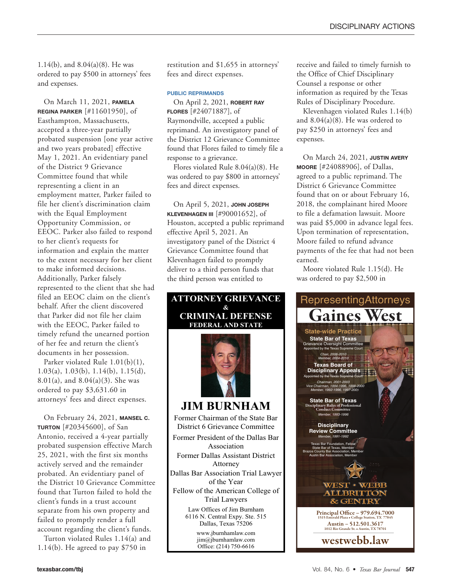1.14(b), and 8.04(a)(8). He was ordered to pay \$500 in attorneys' fees and expenses.

On March 11, 2021, **PAMELA REGINA PARKER** [#11601950], of Easthampton, Massachusetts, accepted a three-year partially probated suspension [one year active and two years probated] effective May 1, 2021. An evidentiary panel of the District 9 Grievance Committee found that while representing a client in an employment matter, Parker failed to file her client's discrimination claim with the Equal Employment Opportunity Commission, or EEOC. Parker also failed to respond to her client's requests for information and explain the matter to the extent necessary for her client to make informed decisions. Additionally, Parker falsely represented to the client that she had filed an EEOC claim on the client's behalf. After the client discovered that Parker did not file her claim with the EEOC, Parker failed to timely refund the unearned portion of her fee and return the client's documents in her possession.

Parker violated Rule 1.01(b)(1), 1.03(a), 1.03(b), 1.14(b), 1.15(d), 8.01(a), and 8.04(a)(3). She was ordered to pay \$3,631.60 in attorneys' fees and direct expenses.

On February 24, 2021, **MANSEL C. TURTON** [#20345600], of San Antonio, received a 4-year partially probated suspension effective March 25, 2021, with the first six months actively served and the remainder probated. An evidentiary panel of the District 10 Grievance Committee found that Turton failed to hold the client's funds in a trust account separate from his own property and failed to promptly render a full account regarding the client's funds.

Turton violated Rules 1.14(a) and 1.14(b). He agreed to pay \$750 in

restitution and \$1,655 in attorneys' fees and direct expenses.

#### **PUBLIC REPRIMANDS**

On April 2, 2021, **ROBERT RAY FLORES** [#24071887], of Raymondville, accepted a public reprimand. An investigatory panel of the District 12 Grievance Committee found that Flores failed to timely file a response to a grievance.

Flores violated Rule 8.04(a)(8). He was ordered to pay \$800 in attorneys' fees and direct expenses.

On April 5, 2021, **JOHN JOSEPH KLEVENHAGEN III** [#90001652], of Houston, accepted a public reprimand effective April 5, 2021. An investigatory panel of the District 4 Grievance Committee found that Klevenhagen failed to promptly deliver to a third person funds that the third person was entitled to



receive and failed to timely furnish to the Office of Chief Disciplinary Counsel a response or other information as required by the Texas Rules of Disciplinary Procedure.

Klevenhagen violated Rules 1.14(b) and  $8.04(a)(8)$ . He was ordered to pay \$250 in attorneys' fees and expenses.

On March 24, 2021, **JUSTIN AVERY MOORE** [#24088906], of Dallas, agreed to a public reprimand. The District 6 Grievance Committee found that on or about February 16, 2018, the complainant hired Moore to file a defamation lawsuit. Moore was paid \$5,000 in advance legal fees. Upon termination of representation, Moore failed to refund advance payments of the fee that had not been earned.

Moore violated Rule 1.15(d). He was ordered to pay \$2,500 in